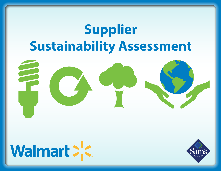# **Supplier Sustainability Assessment**





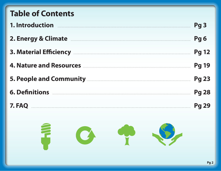| <b>Table of Contents</b>                                             |                 |
|----------------------------------------------------------------------|-----------------|
| 1. Introduction <b>Automaking and September 2016</b>                 | Pg <sub>3</sub> |
| 2. Energy & Climate <b>Entrarrow Climate 2. Energy &amp; Climate</b> | Pg <sub>6</sub> |
| 3. Material Efficiency <b>Example 2.8</b> Material Efficiency        | <b>Pg 12</b>    |
| 4. Nature and Resources <b>Manual Accounts</b> 4.                    | <b>Pg 19</b>    |
| 5. People and Community <b>Source Accord Community</b>               | <b>Pg 23</b>    |
|                                                                      | <b>Pg 28</b>    |
|                                                                      | <b>Pg 29</b>    |
|                                                                      |                 |

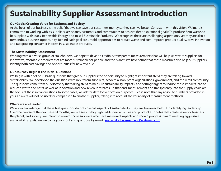## **Sustainability Supplier Assessment Introduction**

#### **Our Goals: Creating Value for Business and Society**

At the heart of our business is the belief that we can save our customers money so they can live better. Consistent with this vision, Walmart is committed to working with its suppliers, associates, customers and communities to achieve three aspirational goals: To produce Zero Waste, to be supplied with 100% Renewable Energy, and to sell Sustainable Products. We recognize these are challenging aspirations, yet they are also a tremendous business opportunity. Behind each goal are untold opportunities to reduce waste and cost, improve product quality, drive innovation and tap growing consumer interest in sustainable products.

#### **The Sustainability Assessment**

Working with a diverse group of stakeholders, we hope to develop credible, transparent measurements that will help us reward suppliers for innovative, affordable products that are more sustainable for people and the planet. We have found that these measures also help our suppliers identify both cost savings and opportunities for new revenue.

#### **Our Journey Begins: The Initial Questions**

We begin with a set of 15 basic questions that give our suppliers the opportunity to highlight important steps they are taking toward sustainability. We developed the questions with input from suppliers, academia, non-profit organizations, government, and the retail community. The questions come from our discovery that taking steps to measure sustainability impacts, and setting targets to reduce those impacts lead to reduced waste and costs, as well as innovation and new revenue streams. To that end, measurement and transparency into the supply chain are the focus of these initial questions. In some cases, we ask for data for verification purposes. Please note that any absolute numbers provided in your answers will not be used for comparison to another supplier, taking into account the variability of measurement methods.

#### **Where we are Headed**

We also acknowledge that these first questions do not cover all aspects of sustainability. They are, however, helpful in identifying leadership. Over the course of the next several months, we will seek to highlight additional activities and product attributes that create value for business, the planet, and society. We intend to reward those suppliers who have measured impacts and shown progress toward meeting aggressive sustainability goals. We welcome your input and questions by email: [sustainabilityassessment@wal-mart.com](mailto:sustainabilityassessment@wal-mart.com)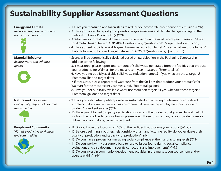## **Sustainability Supplier Assessment Questions**

| <b>Energy and Climate</b><br>Reduce energy costs and green-<br>house gas emissions | • 1. Have you measured and taken steps to reduce your corporate greenhouse gas emissions (Y/N)<br>• 2. Have you opted to report your greenhouse gas emissions and climate change strategy to the<br>Carbon Disclosure Project (CDP)? (Y/N)<br>• 3. What are your total annual greenhouse gas emissions in the most recent year measured? (Enter<br>total metric tons CO2e, e.g. CDP 2009 Questionnaire, Questions 7-11, Scope 1 and 2 emissions)<br>• 4. Have you set publicly available greenhouse gas reduction targets? If yes, what are those targets?<br>(Enter total metric tons and target date, e.g. CDP 2009 Questionnaire, Question 23)                                                                                                                                                  |
|------------------------------------------------------------------------------------|----------------------------------------------------------------------------------------------------------------------------------------------------------------------------------------------------------------------------------------------------------------------------------------------------------------------------------------------------------------------------------------------------------------------------------------------------------------------------------------------------------------------------------------------------------------------------------------------------------------------------------------------------------------------------------------------------------------------------------------------------------------------------------------------------|
| <b>Material Efficiency</b><br>Reduce waste and enhance<br>quality                  | • Scores will be automatically calculated based on participation in the Packaging Scorecard in<br>addition to the following:<br>• 5. If measured, please report total amount of solid waste generated from the facilities that produce<br>your product(s) for Walmart for the most recent year measured. (Enter total lbs)<br>• 6. Have you set publicly available solid waste reduction targets? If yes, what are those targets?<br>(Enter total lbs and target date)<br>• 7. If measured, please report total water use from the facilities that produce your product(s) for<br>Walmart for the most recent year measured. (Enter total gallons)<br>• 8. Have you set publically available water use reduction targets? If yes, what are those targets?<br>(Enter total gallons and target date) |
| <b>Nature and Resources</b><br>High quality, responsibly sourced<br>raw materials  | • 9. Have you established publicly available sustainability purchasing guidelines for your direct<br>suppliers that address issues such as environmental compliance, employment practices, and<br>product/ingredient safety? (Y/N)<br>• 10. Have you obtained 3rd party certifications for any of the products that you sell to Walmart? If<br>so, from the list of certifications below, please select those for which any of your products are, or<br>utilize materials that are, currently certified.                                                                                                                                                                                                                                                                                           |
| <b>People and Community</b><br>Vibrant, productive workplaces<br>and communities   | • 11. Do you know the location of 100% of the facilities that produce your product(s)? (Y/N)<br>• 12. Before beginning a business relationship with a manufacturing facility, do you evaluate their<br>quality of production and capacity for production? (Y/N)<br>• 13. Do you have a process for managing social compliance at the manufacturing level? (Y/N)<br>• 14. Do you work with your supply base to resolve issues found during social compliance<br>evaluations and also document specific corrections and improvements? (Y/N)<br>• 15. Do you invest in community development activities in the markets you source from and/or<br>operate within? (Y/N)                                                                                                                                |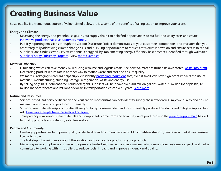## **Creating Business Value**

Sustainability is a tremendous source of value. Listed below are just some of the benefits of taking action to improve your score.

#### **Energy and Climate**

- Measuring the energy and greenhouse gas in your supply chain can help find opportunities to cut fuel and utility costs and create [innovative products that save customers money.](http://walmartstores.com/Video/?id=1206)
- Publicly reporting emissions through the Carbon Disclosure Project demonstrates to your customers, competitors, and investors that you are strategically addressing climate change risks and pursuing opportunities to reduce costs, drive innovation and ensure access to capital.
- Supplier Dana Undies saved 71% off its annual energy bill by implementing energy efficiency best practices identified through Walmart's Supplier Energy [Efficiency](http://walmartstores.com/Video/?id=1233) Program. View [more examples](http://walmartstores.com/Video/?id=1221)

#### **Material Efficiency**

- Eliminating waste can save money by reducing resource and logistics costs. See how Walmart has turned its own stores' [waste into profit](http://walmartstores.com/Video/?id=1207). Decreasing product return rate is another way to reduce waste and cost and ensure quality.
- Walmart's Packaging Scorecard helps suppliers identify [packaging reductions](http://walmartstores.com/download/2339.pdf) that, even if small, can have significant impacts the use of materials, manufacturing, shipping, storage, refrigeration, waste and energy use.
- By selling only 100% concentrated liquid detergent, suppliers will help save over 400 million gallons water, 95 million lbs of plastic, 125 million lbs of cardboard and millions of dollars in transportation costs over 3 years. [Learn more](http://walmartstores.com/Video/?id=1229)

#### **Nature and Resources**

- Science-based, 3rd party certification and verification mechanisms can help identify supply chain efficiencies, improve quality and ensure materials are sourced and produced sustainably.
- Sourcing raw materials responsibly also allows you to tap consumer demand for sustainably produced products and mitigate supply chain risk. Here's an [example](http://walmartstores.com/Video/?id=1232) from the seafood category
- Transparency knowing where materials and components come from and how they were produced in the [jewelry supply chain](http://walmartstores.com/Video/?id=1230) has led to quality products and category sales leadership.

#### **People and Community**

- Creating opportunities to improve quality of life, health and communities can build competitive strength, create new markets and ensure license to grow.
- The first step is knowing more about the location and practices for producing your products.
- Managing social compliance ensures employees are treated with respect and in a manner which we and our customers expect. Walmart is committed to working with its suppliers to reduce social impacts and improve efficiency and quality.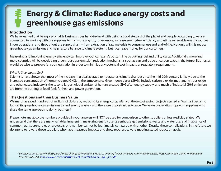## **Energy & Climate: Reduce energy costs and greenhouse gas emissions**

#### **Introduction**

We have learned that being a profitable business goes hand-in-hand with being a good steward of the planet and people. Accordingly, we are committed to working with our suppliers to find more ways to, for example, increase energy/fuel efficiency and utilize renewable energy sources in our operations, and throughout the supply chain – from extraction of raw materials to consumer use and end-of-life. Not only will this reduce greenhouse gas emissions and help restore balance to climate systems, but it can save money for our customers.

Measuring and improving energy efficiency can improve your company's bottom line by cutting fuel and utility costs. Additionally, more and more countries will be developing greenhouse gas emission reduction mechanisms such as cap and trade or carbon taxes in the future. Businesses would be wise to prepare for such legislation in order to minimize any potential cost impacts or regulatory requirements.

#### *What is Greenhouse Gas?*

Scientists have shown that most of the increase in global average temperatures (climate change) since the mid-20th century is likely due to the increased concentration of human-created GHGs in the atmosphere. Greenhouse gases (GHGs) include carbon dioxide, methane, nitrous oxide and other gases. Industry is the second largest global emitter of human-created GHG after energy supply, and much of industrial GHG emissions are from the burning of fossil fuels for heat and power generation.

#### **The Questions and their Business Value**

Walmart has saved hundreds of millions of dollars by reducing its energy costs. Many of these cost saving projects started as Walmart began to look at its greenhouse gas emissions to find energy waste – and therefore opportunities to save. We value our relationships with suppliers who share the same approach to doing business.\*

Please note any absolute numbers provided in your answers will NOT be used for comparison to other suppliers unless explicitly stated. We understand that there are many variables inherent in measuring energy use, greenhouse gas emissions, waste and water use, and in absence of common, transparent rules or protocols, one number cannot be legitimately compared with another. Despite these complications, in the future we do intend to reward those suppliers who have measured impacts and show progress toward meeting stated reduction goals.

 *\* Bernstein, L., et al., 2007: Industry. In: Climate Change 2007: Synthesis Report, Summary for Policymakers, Cambridge University Press, Cambridge, United Kingdom and New York, NY, USA. ([http://www.ipcc.ch/pdf/assessment-report/ar4/syr/ar4\\_syr\\_spm.pdf](http://www.ipcc.ch/pdf/assessment-report/ar4/syr/ar4_syr_spm.pdf))*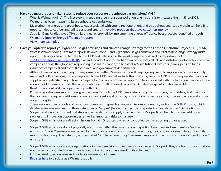#### **1. Have you measured and taken steps to reduce your corporate greenhouse gas emissions? (Y/N)**

- What is Walmart doing? The first step in managing greenhouse gas pollution or emissions is to measure them. Since 2005, Walmart has been measuring its greenhouse gas emissions.
- Measuring the energy and greenhouse gas associated with your direct operations and throughout your supply chain can help find opportunities to cut fuel and utility costs and create [innovative products that save customers money](http://walmartstores.com/Video/?id=1206).
- Supplier Dana Undies saved 71% off its annual energy bill by implementing energy efficiency best practices identified through Walmart's Supplier Energy [Efficiency](http://walmartstores.com/Video/?id=1233) Program.
- View [more examples](http://walmartstores.com/Video/?id=1221)

#### **2. Have you opted to report your greenhouse gas emissions and climate change strategy to the Carbon Disclosure Project (CDP)? (Y/N)**

- What is Walmart doing? Walmart reports its own Scope 1 and 2 greenhouse gas emissions and its climate change strategy (risks, opportunities, governance, targets) to the CDP and believes it is the most complete and credible reporting tool.
- [The Carbon Disclosure Project \(CDP\)](http://www.cdproject.net) is an independent not-for-profit organization that collects and distributes information on how companies across the globe are responding to climate change, on behalf of 475 institutional investors (banks, pension funds, insurance companies) and over 50 companies and government departments.
- Although we will not be scoring this response now, within 24 months, we will begin giving credit to suppliers who have not only measured GHG emissions, but also reported to the CDP. We will include this in scoring because CDP responses provide us and our suppliers an understanding of how to prepare for risks and commercial opportunities associated with the transition to a low carbon economy. CDP currently holds the largest database of self reported corporate climate change information available. Read more about Walmart's [partnership](http://walmartstores.com/Sustainability/7759.aspx?p=8141) with CDP
- Publicly reporting emissions, strategy and actions through the CDP demonstrates to your customers, competitors, and investors that you are strategically addressing climate change risks and pursuing opportunities to reduce costs, drive innovation and ensure access to capital.
- There are a number of tools and resources to assist with greenhouse gas emissions accounting, such as the [GHG Protocol](http://www.ghgprotocol.org/), which divides emissions sources into three categories or "scopes" (below). Each scope is reported separately within CDP. Starting with Scope 1 and 2 is an important first step; understanding your supply chain emissions (Scope 3) can help to uncover additional savings and innovation opportunities, as well as important risks to manage.
- Scope 1 GHG emissions are direct emissions from GHG sources owned or controlled by the reporting organization.
- Scope 2 GHG emissions do not physically occur from within the organization's reporting boundary and are therefore "indirect" emissions. Scope 2 emissions are caused by the organization's consumption of electricity, heat, cooling or steam brought into its reporting boundary. This category is often called "purchased electricity" because it represents the most common source of Scope 2 emissions.
- Scope 3 GHG emissions are an organization's indirect emissions other than those covered in Scope 2. They are from sources that are not owned or controlled by an organization, but which occur as a result of its activities.
- For the latest questionnaire and guidance materials, [click here](http://www.cdproject.net/CDP2009-Questionnaire_SupplierModule.asp)
- [Register here](http://www.cdproject.net/walmart.asp) to disclose as a Walmart supplier.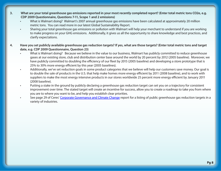- **3. What are your total greenhouse gas emissions reported in your most recently completed report? (Enter total metric tons CO2e, e.g. CDP 2009 Questionnaire, Questions 7-11, Scope 1 and 2 emissions)**
	- What is Walmart doing? Walmart's 2007 annual greenhouse gas emissions have been calculated at approximately 20 million metric tons. You can read more in our latest Global Sustainability Report.
	- Sharing your total greenhouse gas emissions or pollution with Walmart will help your merchant to understand if you are working to make progress on your GHG emissions. Additionally, it gives us all the opportunity to share knowledge and best practices, and clarify expectations.
- **4. Have you set publicly available greenhouse gas reduction targets? If yes, what are those targets? (Enter total metric tons and target date, e.g. CDP 2009 Questionnaire, Question 23)**
	- What is Walmart doing? Because we believe in the value to our business, Walmart has publicly committed to reduce greenhouse gases at our existing store, club and distribution center base around the world by 20 percent by 2012 (2005 baseline). Moreover, we have publicly committed to doubling the efficiency of our fleet by 2015 (2005 baseline) and developing a store prototype that is 25% to 30% more energy efficient by this year (2005 baselines).
	- Additionally, we've set reduction goals in some product categories that we believe will help our customers save money. Our goal is to double the sale of products in the U.S. that help make homes more energy efficient by 2011 (2008 baseline), and to work with suppliers to make the most energy intensive products in our stores worldwide 25 percent more energy efficient by January 2011 (2008 baseline).
	- Putting a stake in the ground by publicly declaring a greenhouse gas reduction target can set you on a trajectory for consistent improvement over time. The stated target will create an incentive for success, allow you to create a roadmap to take you from where you are to where you want to be, and help you establish clear priorities.
	- See page 29 of Ceres' [Corporate Governance and Climate Change](http://www.ceres.org/Document.Doc?id=397) report for a listing of public greenhouse gas reduction targets in a variety of industries.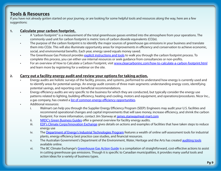### **Tools & Resources**

If you have not already gotten started on your journey, or are looking for some helpful tools and resources along the way, here are a few suggestions:

#### **1. Calculate your carbon footprint.**

- A "carbon footprint" is a measurement of the total greenhouse gasses emitted into the atmosphere from your operations. The commonly used unit for carbon footprint is metric tons of carbon dioxide equivalents (CO2e).
- The purpose of the carbon footprint is to identify the major sources of greenhouse gas emissions in your business and translate them into CO2e. This will also illuminate opportunity areas for improvements in efficiency and conservation to achieve economic, social, and environmental benefits. Each year, energy saved equals money saved.
- The Greenhouse Gas Protocol provides explicit [instructions and tools](http://www.ghgprotocol.org/calculation-tools) to walk you through the carbon footprint process. To complete this process, you can either use internal resources or seek guidance from consultancies or non-profits.
- For an overview of How to Calculate a Carbon Footprint, visit [www.clearcarboninc.com/how-to-calculate-a-carbon-footprint.html](http://www.nicor.com/en_us/commercial/planning_needs/build_strategy/energy_audit.htm) and learn more by registering for a webinar on the site.

#### **2. Carry out a facility energy audit and review your options for taking action.**

- Energy audits are holistic surveys of the facility, process, and systems, performed to understand how energy is currently used and to identify areas for potential savings. An energy audit consists of three main segments: understanding energy costs, identifying potential savings, and reporting cost beneficial recommendations.
- Energy efficiency audits are very specific to the business for which they are conducted, but typically consider the energy use patterns related to lighting, building efficiency, heating and cooling, motors and equipment, and operations/procedures. Nicor Inc., a gas company, has created a list of common energy efficiency [opportunitie](http://www.nicor.com/en_us/commercial/planning_needs/build_strategy/energy_audit.htm)s.
- Additional resources:
	- i. Walmart can help you through the Supplier Energy Efficiency Program (SEEP): Engineers may audit your U.S. facilities and recommend operational changes and capital improvements that will save money, increase efficiency, and shrink the carbon footprint. For more information, contact Jim Stanway at [james.stanway@wal-mart.com](mailto:james.stanway@wal-mart.com)
	- ii. NRDC's Green [Business](http://www.nrdc.org/enterprise/greeningadvisor/en-audits.asp) Guides offer a general overview for facility energy audits.
	- iii. EDF's Climate [Corps/Innovation](http://innovation.edf.org/page.cfm?tagID=30474) Exchange gives details on actions and examples of facilities that have taken steps to reduce energy use
	- iv. The Department of Energy's Industrial [Technologies](http://www1.eere.energy.gov/industry/) Program features a wealth of online self-assessment tools for industrial plants, energy efficiency best practice case studies, and financial resources.
	- v. The Australian Government's Department of the Environment, Water, Heritage and the Arts has created [auditing tools](http://www.environment.gov.au/settlements/challenge/members/technicaltools.html#energy) available online.
	- vi. The BC Climate Exchange's [Greenhouse Gas Action Guide](http://www.ghgactionguide.ca/) is a compilation of straightforward, cost-effective actions to assist in cutting greenhouse gas emissions. Though it is specific to Canadian municipalities, it provides many useful tools and action ideas for a variety of business types.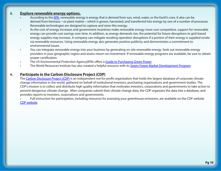#### **3. Explore renewable energy options.**

- According to the [EPA](http://www.epa.gov/oaintrnt/energy/renewtech.htm), renewable energy is energy that is derived from sun, wind, water, or the Earth's core. It also can be derived from biomass—or plant matter—which is grown, harvested, and transferred into energy by one of a number of processes. Renewable technologies are designed to capture and store this energy.
- As the cost of energy increases and government incentives make renewable energy more cost competitive, support for renewable energy can provide cost savings over time. In addition, as energy demands rise, the potential for future disruptions to grid-based energy supplies may increase. A company can mitigate resulting operation disruptions if a portion of their energy is supplied onsite via renewable resources. Using renewable energy also generates positive publicity and demonstrates a commitment to environmental issues.
- You can integrate renewable energy into your business by generating on-site renewable energy. Seek out renewable energy providers in your geographic region and assess return-on-investment. If renewable energy programs are available, be sure to obtain proper certification.
- The US Environmental Protection Agency(EPA) offers a [Guide to Purchasing Green Power](http:/www.epa.gov/greenpower/documents/purchasing_guide_for_web.pdf)
- The World Resources Institute has also created a helpful resource with its Green Power Market [Development](http://www.thegreenpowergroup.org/) Program.

#### **4. Participate in the Carbon Disclosure Project (CDP)**

The [Carbon Disclosure Project \(CDP\)](http://www.cdproject.net) is an independent not-for-profit organization that holds the largest database of corporate climate change information in the world, gathered on behalf of institutional investors, purchasing organizations and government bodies. The CDP's mission is to collect and distribute high quality information that motivates investors, corporations and governments to take action to prevent dangerous climate change. After companies submit their climate change data, the CDP organizes the data into a database, and provides reports to investors, corporations and governments.

• Full instruction for participation, including resources for assessing your greenhouse emissions, are available on the CDP website [CDP website.](http://www.cdproject.net/walmart.asp)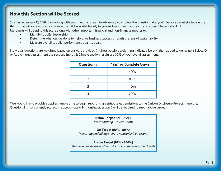## **How this Section will be Scored**

*Scoring begins July 15, 2009.* By working with your merchant team in advance to complete the questionnaire, you'll be able to get started on the things that will raise your score. Your score will be available only to you and your merchant team, and accessible on Retail Link. Merchants will be using this score along with other important financial and non-financial metrics to:

- Identify supplier leadership
- Determine what can be done to help drive business success through the lens of sustainability
- Measure overall supplier performance against goals

Individual questions are weighted based on answers provided (highest possible weighting indicated below), then added to generate a Below, On or Above target assessment the section. Energy & Climate section results are 30% of your overall assessment.

| <b>Question #</b> | "Yes" or Complete Answer = |
|-------------------|----------------------------|
|                   | 40%                        |
|                   | $0\%^{*}$                  |
|                   | 40%                        |
|                   | 20%                        |

\*We would like to provide suppliers ample time to begin reporting greenhouse gas emissions to the Carbon Disclosure Project; therefore, Question 2 is not currently scored. In approximately 24 months, Question 2 will be required to reach above target.

## **Below Target (0% - 59%)** *Not measuring GHG emissions* **On Target (60% - 80%)** *Measuring and taking steps to reduce GHG emissions* **Above Target (81% - 100%)** *Measuring, reporting and setting public GHG emissions reduction targets*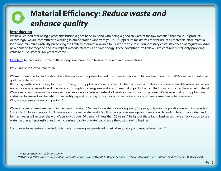## **Material Efficiency:** *Reduce waste and enhance quality*

#### **Introduction**

We have learned that being a profitable business goes hand-in-hand with being a good steward of the raw materials that make up products. Accordingly, we are committed to working in our operations and with you, our supplier, to maximize efficient use of all materials, close material loops and minimize waste. By preserving the limited resources available to us, we are able to cut unnecessary costs, stay ahead of regulation, drive new demand for recycled and low impact material streams, and save energy. These advantages will allow us to continue sustainably providing value to our customers for years to come.

[Click here](http://walmartstores.com/Video/?id=1289) to learn about some of the changes we have taken to save resources in our own stores.

*Why is waste reduction important?*

Walmart's vision is to reach a day where there are no dumpsters behind our stores and no landfills containing our trash. We've set an aspirational goal to create zero waste.

Reducing waste saves money for our customers, our suppliers and our business. It also decreases our reliance on non-renewable resources. When we reduce waste, we reduce all the water consumption, energy use and environmental impacts that resulted from producing the wasted material. We are recycling more and working with our suppliers to reduce waste at all levels in the production process. We believe that our suppliers are instrumental in–and will benefit from–identifying and pursuing opportunities to reduce waste and increase use of recycled materials. Why is water use efficiency important?

Water efficiency issues are becoming increasingly vital: "Demand for water is doubling every 20 years, outpacing population growth twice as fast. Currently 1.3 billion people don't have access to clean water and 2.5 billion lack proper sewage and sanitation. According to estimates, demand for freshwater will exceed the world's supply by over 50 percent in less than 20 years."\* In light of these facts, businesses have an obligation to use water resources responsibly, and the increasing scarcity of water could raise the cost of doing business.

Companies in water-intensive industries face increasing water-related physical, regulatory and reputational risks.\*\*

 *\*Water Consciousness, ed by Tara Lohan*

 *\*\*"Watching Water: A Guide To Evaluating Corporate Risks in a Thirsty World." JP Morgan Securities, Piet Klop. (World Resources Institute, Fred Wellington, 31 March 2008*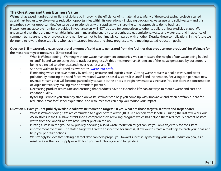#### **The Questions and their Business Value**

Walmart has saved hundreds of millions of dollars by improving the efficiency of its material use. Many of these cost saving projects started as Walmart began to explore waste reduction opportunities within its operations – including packaging, water use, and solid waste – and this unearthed savings opportunities. We value our relationships with suppliers who share the same approach to doing business.

Please note any absolute numbers provided in your answers will NOT be used for comparison to other suppliers unless explicitly stated. We understand that there are many variables inherent in measuring energy use, greenhouse gas emissions, waste and water use, and in absence of common, transparent rules or protocols, one number cannot be legitimately compared with another. Despite these complications, in the future we do intend to reward those suppliers who have measured impacts and show progress toward meeting stated reduction goals.

#### **Question 5: If measured, please report total amount of solid waste generated from the facilities that produce your product(s) for Walmart for the most recent year measured. (Enter total lbs)**

- What is Walmart doing? Working with our waste management companies, we can measure the weight of our waste being hauled to landfills, and we are using this to track our progress. At this time, more than 55 percent of the waste generated by our stores is being redirected to other uses and never reaches a landfill.
- See how Walmart has turned its own stores' [waste into profit](http://walmartstores.com/Video/?id=1207).
- Eliminating waste can save money by reducing resource and logistics costs. Cutting waste reduces air, solid waste, and water pollution by reducing the need for conventional waste disposal systems like landfill and incineration. Recycling can generate new revenue streams that will become particularly valuable as the prices of virgin raw materials increase. You can decrease consumption of virgin materials by making reuse a standard practice.
- Decreasing product return rate and ensuring that products have an extended lifespan are ways to reduce waste and cost and enhance quality.
- By telling us where you currently stand on waste, Walmart can help you come up with innovative and often profitable ideas for reduction, areas for further exploration, and resources that can help you reduce your impact.

#### **Question 6: Have you set publicly available solid waste reduction targets? If yes, what are those targets? (Enter # and target date)**

- What is Walmart doing? We are committed to a goal of zero waste (100% redirection from landfills). During the last few years, our ASDA stores in the U.K. have established a comprehensive recycling program which has helped them redirect 65 percent of store waste from the landfill, and we have similar pilots in the US.
- Putting a stake in the ground by publicly declaring a solid waste reduction target can set you on a trajectory for consistent improvement over time. The stated target will create an incentive for success, allow you to create a roadmap to reach your goal, and help you prioritize actions.
- We strongly believe that setting a target date can help propel you toward successfully meeting your waste reduction goal; as a result, we ask that you supply us with both your reduction goal and target date.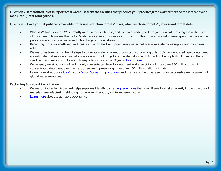**Question 7: If measured, please report total water use from the facilities that produce your product(s) for Walmart for the most recent year measured. (Enter total gallons)** 

**Question 8: Have you set publically available water use reduction targets? If yes, what are those targets? (Enter # and target date)**

- What is Walmart doing? We currently measure our water use, and we have made good progress toward reducing the water use of our stores. Please see the Global Sustainability Report for more information. Though we have set internal goals, we have not yet publicly announced our water reduction targets for our stores.
- Becoming more water efficient reduces costs associated with purchasing water, helps ensure sustainable supply, and minimizes risks.
- Walmart has taken a number of steps to promote water efficient products. By producing only 100% concentrated liquid detergent, we estimate that suppliers can help save over 400 million gallons of water (along with 95 million lbs of plastic, 125 million lbs of cardboard and millions of dollars in transportation costs over 3 years). [Learn more](http://walmartstores.com/Video/?id=1229)
- We recently meet our goal of selling only concentrated laundry detergent and expect to sell more than 800 million units of concentrated detergent over the next three years, preserving more than 400 million gallons of water.
- Learn more about Coca Cola's Global Water [Stewardship](http://www.bsr.org/reports/Coke_Water_Study_March_2008.pdf) Program and the role of the private sector in responsible management of global water resources.

#### **Packaging Scorecard Participation**

- Walmart's Packaging Scorecard helps suppliers identify [packaging reductions](http://walmartstores.com/download/2339.pdf) that, even if small, can significantly impact the use of materials, manufacturing, shipping, storage, refrigeration, waste and energy use.
- [Learn more](http://walmartstores.com/Video/?id=711) about sustainable packaging.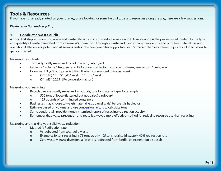### **Tools & Resources**

If you have not already started on your journey, or are looking for some helpful tools and resources along the way, here are a few suggestions:

#### *Waste reduction and recycling*

#### **1. Conduct a waste audit.**

A good first step in minimizing waste and waste related costs is to conduct a waste audit. A waste audit is the process used to identify the type and quantity of waste generated from a business's operations. Through a waste audit, a company can identify and prioritize material use and operational efficiencies, potential cost savings and/or revenue generating opportunities. Some simple measurement tips are included below to get you started:

Measuring your trash:

- Trash is typically measured by volume, e.g., cubic yard
- Capacity \* volume \* frequency >> [EPA conversion factor](http://www.epa.gov/epaoswer/non-hw/recycle/recmeas/download.htm) = cubic yards/week/year or tons/week/year
- Example: 1, 3 yd3 Dumpster is 85% full when it is emptied twice per week =
	- o  $(3 * 0.85) * 2 = 5.1$  yd3/ week = 1.1 tons/ week
	- o (5.1 yd3\* 0.225 [EPA conversion factor])

Measuring your recycling:

- Recyclables are usually measured in pounds/tons by material type, for example:
	- o 500 tons of loose (flattened but not baled) cardboard
	- o 125 pounds of commingled containers
- Businesses may choose to weigh material (e.g., parcel scale) before it is hauled or
- Estimate based on volume and use **[conversion factors](http://www.epa.gov/epaoswer/non-hw/recycle/recmeas/download.htm)** to calculate tons
- Some vendors will provide monthly itemized report of recycling/redirection activity
- Remember that waste prevention and reuse is always a more effective method for reducing resource use than recycling

Measuring and tracking your solid waste reduction:

- Method 1: Redirection rate
	- o % redirected from total solid waste
	- o Example: 50 tons recycling  $+ 75$  tons trash = 125 tons total solid waste = 40% redirection rate
	- o Zero waste = 100% diversion (all waste is redirected from landfill or incineration disposal)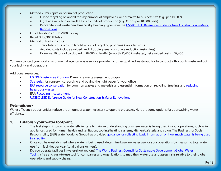- Method 2: Per capita or per unit of production
	- o Divide recycling or landfill tons by number of employees, or normalize to business size (e.g., per 100 ft2)
	- o Or, divide recycling or landfill tons by units of production (e.g., X tons per 10,000 units)
	- o Per capita solid waste benchmarks (by building type) from the USGBC LEED Reference Guide for New [Construction](http://www.usgbc.org/leed) & Major  [Renovations:](http://www.usgbc.org/leed)
- Office buildings: 1.5 lbs/100 ft2/day
- Retail: 3 lbs/100 ft2/day
- Method 3: Tracking costs
	- o Track total costs: (cost to landfill + cost of recycling program) + avoided costs
	- o Avoided costs include avoided landfill tipping fees plus source reduction (using less)
	- o Example: 50 tons of cardboard = \$8,000 to landfill (+ worth \$1,400 in rebates); net avoided costs = \$9,400

You may contact your local environmental agency, waste service provider, or other qualified waste auditor to conduct a thorough waste audit of your facility and operations.

Additional resources:

- US EPA Waste Wise [Progra](http://www.epa.gov/epawaste/partnerships/wastewise/plan-program.htm#conduct)m: Planning a waste assessment program
- [Strategies](http://www.nrdc.org/cities/living/paper/strategies.asp) for conserving, recycling and buying the right paper for your office
- [EPA resource conservation](http://www.epa.gov/osw/conserve/materials/index.htm) for common wastes and materials and essential information on recycling, treating, and reducing  [hazardous wastes](http://www.epa.gov/osw/hazard/index.htm)
- EPA: [Recycling measurement](http://www.epa.gov/epaoswer/non-hw/recycle/recmeas/download.htm)
- USGBC LEED Reference Guide for New [Construction](http://www.usgbc.org/leed) & Major Renovations

#### *Water efficiency*

Water efficiency opportunities reduce the amount of water necessary to operate processes. Here are some options for approaching water efficiency.

#### **1. Establish your water footprint.**

- The first step in improving water efficiency is to gain an understanding of where water is being used in your operations, such as in appliances used for human health and sanitation, cooling/heating systems, kitchen/cafeteria and so on. The Business for Social Responsibility (BSR) Water Working Group has provided [guidance for collecting basic information on how much water is being used](http://www.bsr.org/reports/BSR_Water-Trends.pdf)   [in a facility.](http://www.bsr.org/reports/BSR_Water-Trends.pdf)
- Once you have established where water is being used, determine baseline water use for your operations by measuring total water use from facilities per year (total gallons or liters).
- Do you operate facilities in water-short regions? The World Business Council for Sustainable Development Global Water  [Tool](http://www.wbcsd.org/Plugins/DocSearch/details.asp?DocTypeId=251&ObjectId=MzM2NjY) is a free and easy-to-use tool for companies and organizations to map their water use and assess risks relative to their global operations and supply chains.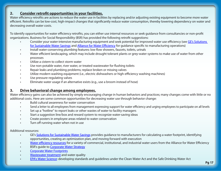#### **2. Consider retrofit opportunities in your facilities.**

Water efficiency retrofits are actions to reduce the water use in facilities by replacing and/or adjusting existing equipment to become more water efficient. Retrofits can be low-cost, high-impact changes that significantly reduce water consumption, thereby lowering dependency on water and decreasing overall water costs.

To identify opportunities for water efficiency retrofits, you can either use internal resources or seek guidance from consultancies or non-profit organizations. Business for Social Responsibility (BSR) has provided the following retrofit suggestions:

- Consider your water-intensive manufacturing equipment and seek potential for improved water use efficiency (see GE's [Solutions](http://www.allianceforwaterefficiency.org/WorkArea/linkit.aspx?LinkIdentifier=id&ItemID=2212) for Sustainable Water Savings and Alliance for Water [Efficienc](http://www.allianceforwaterefficiency.org/Manufacturing_Introduction.aspx)y for guidance specific to manufacturing operations)
- Install water-conserving plumbing features: low flow showers, faucets, toilets, urinals
- Water efficient landscaping, which may include drought tolerant plants or grey-water systems to make use of water from other processes
- Utilize a cistern to collect storm water
- Use non-potable water, river water, or treated wastewater for flushing toilets
- Repair leaks and plumbing problems; replace broken or missing valves
- Utilize modern washing equipment (i.e., electric dishwashers or high-efficiency washing machines)
- Use pressure-regulating valves
- Eliminate water usage if an alternative exists (e.g., use a broom instead of hose)

#### **3. Drive behavioral change among employees.**

Water efficiency gains can also be achieved by simply encouraging change in human behaviors and practices; many changes come with little or no additional costs. Here are some common opportunities for decreasing water use through behavior change:

- Build cultural awareness for water conservation
- Send a letter to all employees from management expressing support for water efficiency and urging employees to participate on all levels
- Set up a "hotline" to report leaks or other wastes of water to facility managers
- Start a suggestion line/box and reward system to recognize water-saving ideas
- Create posters in employee areas related to water conservation
- Turn off running water when not in use

#### Additional resources:

- GE's [Solutions for Sustainable Water Savings](http://www.allianceforwaterefficiency.org/WorkArea/linkit.aspx?LinkIdentifier=id&ItemID=2212) provides guidance to manufacturers for calculating a water footprint, identifying opportunities, creating an optimization plan, and moving forward with execution
- Water [efficiency](http://www.allianceforwaterefficiency.org/Commercial_Institutional_and_Industrial_Library_Content_Listing.aspx) resources for a variety of commercial, institutional, and industrial water users from the Alliance for Water Efficiency
- **BSR's quide to [Corporate Water Strategy](http://www.bsr.org/reports/BSR_Water-Trends.pdf)**
- **[Corporate](http://www.waterfootprint.org/?page=files/CorporateWaterFootprints) Water Footprints**
- [Wastewater treatment](http://www.wef.org/AboutWater/ForThePublic/WastewaterTreatment/) and water quality
- **EPA's Water [Scienc](http://www.epa.gov/waterscience/)e:** developing standards and guidelines under the Clean Water Act and the Safe Drinking Water Act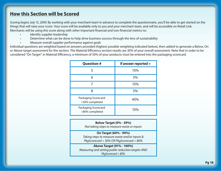## **How this Section will be Scored**

*Scoring begins July 15, 2009.* By working with your merchant team in advance to complete the questionnaire, you'll be able to get started on the things that will raise your score. Your score will be available only to you and your merchant team, and will be accessible on Retail Link. Merchants will be using this score along with other important financial and non-financial metrics to:

- Identify supplier leadership
- Determine what can be done to help drive business success through the lens of sustainability
- Measure overall supplier performance against goals

Individual questions are weighted based on answers provided (highest possible weighting indicated below), then added to generate a Below, On or Above target assessment for the section. The Material Efficiency section results are 30% of your overall assessment. Note that in order to be considered "On Target" in Material Efficiency, a minimum of 50% of your products must be entered into the packaging scorecard.

| <b>Question #</b>                      | If answer reported $=$ |
|----------------------------------------|------------------------|
| 5                                      | 15%                    |
| 6                                      | 5%                     |
|                                        | 15%                    |
| 8                                      | 5%                     |
| Packaging Scorecard:<br>>50% completed | 45%                    |
| Packaging Scorecard:<br>>80% completed | 15%                    |

**Below Target (0% - 59%)** *Not taking steps to measure waste or inputs*  **On Target (60% - 90%)** *Taking steps to measure waste and/or inputs & PkgScorecard > 50% OR PkgScorecard > 80%*  **Above Target (91% - 100%)** *Measuring and setting public reduction targets AND* 

*PkgScorecard > 80%*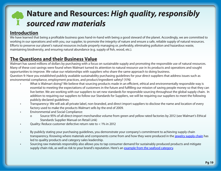## **Nature and Resources:** *High quality, responsibly sourced raw materials*

### **Introduction**

We have learned that being a profitable business goes hand-in-hand with being a good steward of the planet. Accordingly, we are committed to working in our operations and with you, our supplier, to promote the integrity of nature and ensure a safe, reliable supply of natural resources. Efforts to preserve our planet's natural resources include properly managing or, preferably, eliminating pollution and hazardous waste, maintaining biodiversity, and ensuring natural abundance (e.g. supply of fish, wood, etc.).

## **The Questions and their Business Value**

Walmart has saved millions of dollars by purchasing with a focus on sustainable supply and promoting the responsible use of natural resources. Many of these cost savings were found when Walmart turned its attention to natural resource use in its products and operations and sought opportunities to improve. We value our relationships with suppliers who share the same approach to doing business. Question 9: Have you established publicly available sustainability purchasing guidelines for your direct suppliers that address issues such as

environmental compliance, employment practices, and product/ingredient safety? (Y/N)

- What is Walmart doing? We believe that sourcing products made in an efficient, ethical and environmentally responsible way is essential to meeting the expectations of customers in the future and fulfilling our mission of saving people money so that they can live better. We are working with our suppliers to set new standards for responsible sourcing throughout the global supply chain. In addition to requiring our suppliers to follow our Standards for Suppliers, we will be requiring our suppliers to meet the following publicly declared guidelines:
- Transparency: We will ask all private label, non-branded, and direct import suppliers to disclose the name and location of every factory used to make the products Walmart sells by the end of 2009.
- Environmental and Social Compliance:
	- o Source 95% of all direct-import merchandise volume from green and yellow rated factories by 2012 (see Walmart's Ethical Standards Supplier Manual on Retail Link)
- Quality: Reduce customer defective return rate to < 1% in 2012
- By publicly stating your purchasing guidelines, you demonstrate your company's commitment to achieving supply chain transparency. Knowing where materials and components come from and how they were produced in the [jewelry supply chain](http://walmartstores.com/Video/?id=1230) has led to quality products and category sales leadership.
- Sourcing raw materials responsibly also allows you to tap consumer demand for sustainably produced products and mitigate supply chain risk, as well as risk to your brand's reputation. Here's an [example from the seafood category](http://walmartstores.com/Video/?id=1232).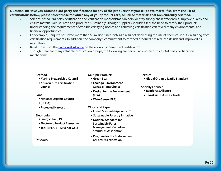#### **Question 10: Have you obtained 3rd party certifications for any of the products that you sell to Walmart? If so, from the list of certifications below, please select those for which any of your products are, or utilize materials that are, currently certified.**

- Science-based, 3rd party certification and verification mechanisms can help identify supply chain efficiencies, improve quality and ensure materials are sourced and produced sustainably. Though suppliers shouldn't feel the need to certify their products, understanding the requirements of credible certifying bodies and achieving certification can reveal many environmental and financial opportunities.
- For example, Chiquita has saved more than \$5 million since 1997 as a result of decreasing the use of chemical inputs, resulting from certification requirements. In addition, the company's commitment to certified products has reduced its risk and improved its reputation.
- Read more from the [Rainforest Alliance](http://www.rainforest-alliance.org/resources/documents/measuring_business_success.pdf) on the economic benefits of certification.
- Though there are many valuable certification groups, the following are particularly noteworthy as 3rd party certification mechanisms:

#### **Seafood**

- **• Marine Stewardship Council**
- Aquaculture Certification Council

#### **Food**

- **• National Organic Council**
- **• (USDA)**
- **• Protected Harvest**

#### **Electronics**

- **• Energy Star (EPA)**
- **• Electronic Product Assessment**
- **• Tool (EPEAT) Silver or Gold**

#### *\*Preferred*

#### **Multiple Products**

- **• Green Seal**
- **• Ecologo (Environment Canada/Terra Choice)**
- **• Design for the Environment (EPA)**
- **• WaterSense (EPA)**
- **Wood and Paper**
	- **• Forest Stewardship Council\***
	- **• Sustainable Forestry Initiative**
	- **• National Standard for Sustainable Forest Management (Canadian Standards Association)**
	- Program for the Endorsement of Forest Certification

#### **Textiles**

**• Global Organic Textile Standard**

#### **Socially Focused**

- **• Rainforest Alliance**
- **• TransFair USA Fair Trade**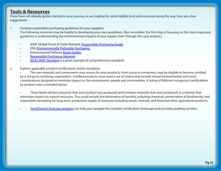### **Tools & Resources**

If you have not already gotten started on your journey, or are looking for some helpful tools and resources along the way, here are a few suggestions:

1. Develop sustainable purchasing guidelines for your suppliers.

The following resources may be helpful in developing your own guidelines. (But remember, the first step in focusing on the most important guidelines is understanding the environmental impacts of your supply chain through life cycle analysis.)

- WWF Global Forest & Trade Network: [Responsible Purchasing Guide](http://assets.panda.org/downloads/finalrpg.pdf)
- EPA: [Environmentally Preferable Purchasing](http://www.epa.gov/epp/)
- **Environmental Defense [Buyer Guides](http://www.edf.org/page.cfm?tagID=19659&redirect=buyerguides)**
- [Responsible Purchasing Network](http://www.responsiblepurchasing.org/)
- **IKEA's IWAY [Standar](http://www.ikea-group.ikea.com/repository/documents/917.pdf)d is a great example of comprehensive standards**
- 2. Explore applicable product certifications and/or standards.

The raw materials and components your source for your products, from cocoa to computers, may be eligible to become certified by a 3rd party certifying organization. Certified products must meet a set of criteria that include robust environmental and social considerations designed to minimize impact on the environment, people and communities. A listing of Walmart recognized certifications by product area is included above.

• These labels tell the consumer that your product was produced (and contains materials that were produced) in a manner that minimizes impact on natural resources. This could include the elimination of harmful, polluting chemicals, preservation of biodiversity, and responsible harvesting for long-term, productive supply of resources including wood, minerals, and food and other agricultural products.

• [TerraChoice's](http://www.terrachoice.com/Home/Validation%20Products/EcoLogo%20Program) EcoLogo program can help you navigate the complex certification landscape and provides auditing services.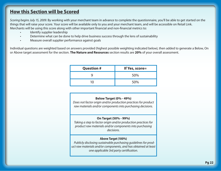### **How this Section will be Scored**

*Scoring begins July 15, 2009.* By working with your merchant team in advance to complete the questionnaire, you'll be able to get started on the things that will raise your score. Your score will be available only to you and your merchant team, and will be accessible on Retail Link. Merchants will be using this score along with other important financial and non-financial metrics to:

- Identify supplier leadership
- Determine what can be done to help drive business success through the lens of sustainability
- Measure overall supplier performance against goals

Individual questions are weighted based on answers provided (highest possible weighting indicated below), then added to generate a Below, On or Above target assessment for the section. **The Nature and Resources** section results are **20%** of your overall assessment.

| <b>Question #</b> | If Yes, score= |  |
|-------------------|----------------|--|
|                   | 50%            |  |
| 1Λ                | 50%            |  |

#### **Below Target (0% - 49%)**

*Does not factor origin and/or production practices for product raw materials and/or components into purchasing decisions.*

#### **On Target (50% - 99%)**

*Taking a step to factor origin and/or production practices for product raw materials and/or components into purchasing decisions.*

#### **Above Target (100%)**

*Publicly disclosing sustainable purchasing guidelines for product raw materials and/or components, and has obtained at least one applicable 3rd party certification.*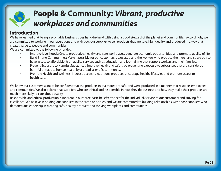## **People & Community:** *Vibrant, productive workplaces and communities*

## **Introduction**

We have learned that being a profitable business goes hand-in-hand with being a good steward of the planet and communities. Accordingly, we are committed to working in our operations and with you, our supplier, to sell products that are safe, high quality and produced in a way that creates value to people and communities.

We are committed to the following priorities:

- Improve Livelihoods: Create productive, healthy and safe workplaces, generate economic opportunities, and promote quality of life.
- Build Strong Communities: Make it possible for our customers, associates, and the workers who produce the merchandise we buy to have access to affordable, high quality services such as education and job training that support workers and their families.
- Prevent Exposure to Harmful Substances: Improve health and safety by preventing exposure to substances that are considered harmful or toxic to human health by a broad scientific community.
- Promote Health and Wellness: Increase access to nutritious products, encourage healthy lifestyles and promote access to health care.

We know our customers want to be confident that the products in our stores are safe, and were produced in a manner that respects employees and communities. We also believe that suppliers who are ethical and responsible in how they do business and how they make their products are much more likely to care about quality.

Responsible and ethical production is inherent in our three basic beliefs: respect for the individual, service to our customers and striving for excellence. We believe in holding our suppliers to the same principles, and we are committed to building relationships with those suppliers who demonstrate leadership in creating safe, healthy products and thriving workplaces and communities.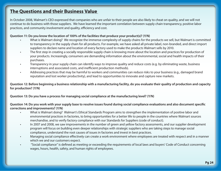## **The Questions and their Business Value**

In October 2008, Walmart's CEO expressed that companies who are unfair to their people are also likely to cheat on quality, and we will not continue to do business with those suppliers. We have learned the important correlation between supply chain transparency, positive labor practices, and community involvement and quality, efficiency and cost.

#### **Question 11: Do you know the location of 100% of the facilities that produce your product(s)? (Y/N)**

- What is Walmart doing? We recognize the immense complexity of supply chains for the products we sell, but Walmart is committed to transparency in the supply chain for all products. For example, we have asked all private label, non-branded, and direct import suppliers to declare name and location of every factory used to make the products Walmart sells by 2010.
- The first step in creating a socially responsible supply chain is knowing more about the location and practices for production of your products. Increasingly, consumers are demanding information about the environmental, social and health impacts of their purchases.
- Transparency in your supply chain can identify ways to improve quality and reduce costs (e.g. by eliminating waste, business interruptions and associated costs, and inefficient production methods).
- Addressing practices that may be harmful to workers and communities can reduce risks to your business (e.g., damaged brand reputation and lost worker productivity), and lead to opportunities to innovate and capture new markets.

**Question 12: Before beginning a business relationship with a manufacturing facility, do you evaluate their quality of production and capacity for production? (Y/N)**

**Question 13: Do you have a process for managing social compliance at the manufacturing level? (Y/N)**

**Question 14: Do you work with your supply base to resolve issues found during social compliance evaluations and also document specific corrections and improvements? (Y/N)**

- What is Walmart doing? Walmart's Ethical Standards Program aims to strengthen the implementation of positive labor and environmental practices in factories, to bring opportunities for a better life to people in the countries where Walmart sources merchandise, and to verify factory compliance with our Standards for Suppliers (code of conduct).
- In 2007 and 2008, we saw improvements in the number of green and yellow factory assessments, and our supplier development program will focus on building even deeper relationships with strategic suppliers who are taking steps to manage social compliance, understand the root causes of issues in factories and invest in best practices.
- Managing social compliance effectively can create a work environment where employees are treated with respect and in a manner which we and our customers expect.
- "Social compliance" is defined as meeting or exceeding the requirements of local laws and buyers' Code of Conduct concerning wages, hours, health, safety, and human rights of employees.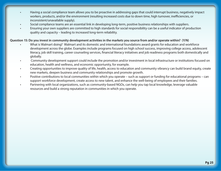- Having a social compliance team allows you to be proactive in addressing gaps that could interrupt business, negatively impact workers, products, and/or the environment (resulting increased costs due to down time, high turnover, inefficiencies, or inconsistent/unavailable supply).
- Social compliance teams are an essential link in developing long-term, positive business relationships with suppliers.
- Ensuring your own suppliers are committed to high standards for social responsibility can be a useful indicator of production quality and capacity – leading to increased long-term reliability.

#### **Question 15: Do you invest in community development activities in the markets you source from and/or operate within? (Y/N)**

- What is Walmart doing? Walmart and its domestic and international foundations award grants for education and workforce development across the globe. Examples include programs focused on high school success, improving college access, adolescent literacy, job skill training, career counseling services, financial literacy initiatives and job readiness programs both domestically and globally.
- Community development support could include the promotion and/or investment in local infrastructure or institutions focused on education, health and wellness, and economic opportunity, for example.
- Creating opportunities to improve quality of life, health, access to education and community vibrancy can build brand equity, create new markets, deepen business and community relationships and promote growth.
- Positive contributions to local communities within which you operate such as support or funding for educational programs can support workforce development, create access to new talent, and enhance the well-being of employees and their families.
- Partnering with local organizations, such as community-based NGOs, can help you tap local knowledge, leverage valuable resources and build a strong reputation in communities in which you operate.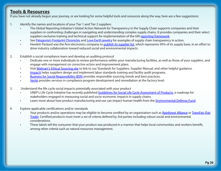### **Tools & Resources**

If you have not already begun your journey, or are looking for some helpful tools and resources along the way, here are a few suggestions:

#### 1. Identify the names and locations of your Tier 1 and Tier 2 suppliers

- The Global Reporting Initiative's Global Action Network for Transparency in the Supply Chain supports companies and their suppliers in confronting challenges in navigating and understanding complex supply chains. It provides companies and their select suppliers exclusive training and technical support for implementation of the GRI [reporting framework](http://www.globalreporting.org/ReportingFramework/).
- See [Patagonia's](http://www.patagonia.com/web/us/footprint/index.jsp?slc=en_US&sct=US) Footprint Chronicles and [Love Earth jewelry](http://www.loveearthinfo.com/home.html) for examples of supply chain transparency in action.
- Hewlett Packard was the first electronics company to [publish its supplier list,](http://www.hp.com/hpinfo/globalcitizenship/supplychain/transparency.html) which represents 95% of its supply base, in an effort to drive industry collaboration toward reduced social and environmental impacts.
- 2. Establish a social compliance team and develop an auditing protocol
	- Dedicate one or more individuals to review performance within your manufacturing facilities, as well as those of your suppliers, and engage with management on corrective action and improvement plans.
	- Visit [Walmart's](http://walmartstores.com/AboutUs/279.aspx) Ethical Sourcing site to link to our Standards for Suppliers, Supplier Manual, and other helpful guidance.
	- [Impactt](http://www.impacttlimited.com/) helps suppliers design and implement labor standards training and facility audit programs.
	- [Business for Social Responsibility \(BSR\)](http://www.bsr.org) provides responsible sourcing trends and best practices.
	- [Verité](http://www.verite.org) provides services in compliance program development and remediation at the factory level.
- 3. Understand the life cycle social impacts potentially associated with your product
	- UNEP's Life Cycle Initiative has recently published [Guidelines for Social Life Cycle Assessment of Products,](http://lcinitiative.unep.fr/default.asp?site=lcinit&page_id=A8992620-AAAD-4B81-9BAC-A72AEA281CB9) a roadmap for stakeholders engaged in measuring social and socio-economic impacts in supply chains.
	- Learn more about how product manufacturing and use can impact human health from the [Environmental](http://www.edf.org/page.cfm?tagID=67) Defense Fund.
- 4. Explore applicable certifications and/or standards
	- Your products and/or operations may be eligible to become certified by an organization such as [Rainforest Alliance](http://www.rainforest-alliance.org/certification.cfm?id=main) or [TransFair](http://www.transfairusa.org/content/about/benefits.php) (Fair  [Trade\).](http://www.transfairusa.org/content/about/benefits.php) Certified products must meet a set of criteria defined by 3rd parties including robust social and environmental considerations.
	- These labels tell the consumer that your product was produced in a manner that helps local communities and workers benefit, among other criteria such as natural resources management.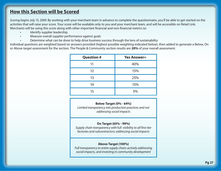### **How this Section will be Scored**

*Scoring begins July 15, 2009.* By working with your merchant team in advance to complete the questionnaire, you'll be able to get started on the activities that will raise your score. Your score will be available only to you and your merchant team, and will be accessible on Retail Link. Merchants will be using this score along with other important financial and non-financial metrics to:

- Identify supplier leadership
- Measure overall supplier performance against goals
- Determine what can be done to help drive business success through the lens of sustainability

Individual questions are weighted based on answers provided (highest possible weighting indicated below), then added to generate a Below, On or Above target assessment for the section. The People & Community section results are **20%** of your overall assessment.

| <b>Question #</b> | <b>Yes Answer=</b> |
|-------------------|--------------------|
| 11                | 40%                |
| 12                | 15%                |
| 13                | 25%                |
| 14                | 15%                |
| 15                | 5%                 |

**Below Target (0% - 64%)**

*Limited transparency into production practices and not addressing social impacts* 

#### **On Target (65% - 99%)**

*Supply chain transparency with full visibility to all first-tier factories and subcontractors; addressing social impacts* 

#### **Above Target (100%)**

*Full transparency to entire supply chain; actively addressing social impacts, and investing in community development*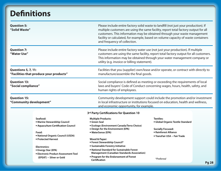## **Definitions**

| <b>Question 5:</b><br>"Solid Waste"<br><b>Question 7:</b><br>"Water Use" |                                                                                                                                                                                                                                                                        | and frequency of collection.                                                                                                                                                                                                                                                                                                                                                                                                  | Please include entire factory solid waste to landfill (not just your production). If<br>multiple customers are using the same facility, report total factory output for all<br>customers. This information may be obtained through your waste management<br>facility or calculated, for example, based on volume capacity of waste containers<br>Please include entire factory water use (not just your production). If multiple<br>customers are using the same facility, report total factory output for all customers.<br>This information may be obtained through your water management company or<br>utility (e.g. invoice or billing statement). |              |  |
|--------------------------------------------------------------------------|------------------------------------------------------------------------------------------------------------------------------------------------------------------------------------------------------------------------------------------------------------------------|-------------------------------------------------------------------------------------------------------------------------------------------------------------------------------------------------------------------------------------------------------------------------------------------------------------------------------------------------------------------------------------------------------------------------------|--------------------------------------------------------------------------------------------------------------------------------------------------------------------------------------------------------------------------------------------------------------------------------------------------------------------------------------------------------------------------------------------------------------------------------------------------------------------------------------------------------------------------------------------------------------------------------------------------------------------------------------------------------|--------------|--|
|                                                                          |                                                                                                                                                                                                                                                                        |                                                                                                                                                                                                                                                                                                                                                                                                                               |                                                                                                                                                                                                                                                                                                                                                                                                                                                                                                                                                                                                                                                        |              |  |
| <b>Questions 5, 7, 11:</b><br>"Facilities that produce your products"    |                                                                                                                                                                                                                                                                        | Facilities that you (supplier) own/lease and/or operate, or contract with directly to<br>manufacture/assemble the final goods.                                                                                                                                                                                                                                                                                                |                                                                                                                                                                                                                                                                                                                                                                                                                                                                                                                                                                                                                                                        |              |  |
| <b>Question 13:</b><br>"Social compliance"                               |                                                                                                                                                                                                                                                                        | Social compliance is defined as meeting or exceeding the requirements of local<br>laws and buyers' Code of Conduct concerning wages, hours, health, safety, and<br>human rights of employees.                                                                                                                                                                                                                                 |                                                                                                                                                                                                                                                                                                                                                                                                                                                                                                                                                                                                                                                        |              |  |
| <b>Question 15:</b><br>"Community development"                           |                                                                                                                                                                                                                                                                        | Community development support could include the promotion and/or investment<br>in local infrastructure or institutions focused on education, health and wellness,<br>and economic opportunity, for example.                                                                                                                                                                                                                   |                                                                                                                                                                                                                                                                                                                                                                                                                                                                                                                                                                                                                                                        |              |  |
|                                                                          |                                                                                                                                                                                                                                                                        | 3rd Party Certifications for Question 10                                                                                                                                                                                                                                                                                                                                                                                      |                                                                                                                                                                                                                                                                                                                                                                                                                                                                                                                                                                                                                                                        |              |  |
|                                                                          | Seafood:<br>· Marine Stewardship Council<br>• Aquaculture Certification Council<br>Food:<br>• National Organic Council (USDA)<br>• Protected Harvest<br><b>Electronics:</b><br>• Energy Star (EPA)<br>• Electronic Product Assessment Tool<br>(EPEAT) - Silver or Gold | <b>Multiple Products:</b><br>• Green Seal<br>• Ecologo (Environment Canada/Terra Choice)<br>• Design for the Environment (EPA)<br>· WaterSense (EPA)<br><b>Wood &amp; Paper:</b><br>• Forest Stewardship Council*<br>· Sustainable Forestry Initiative<br>• National Standard for Sustainable Forest<br><b>Management (Canadian Standards Association)</b><br>• Program for the Endorsement of Forest<br><b>Certification</b> | <b>Textiles:</b><br>· Global Organic Textile Standard<br><b>Socially Focused:</b><br>• Rainforest Alliance<br>• TransFair USA – Fair Trade<br>*Preferred                                                                                                                                                                                                                                                                                                                                                                                                                                                                                               |              |  |
|                                                                          |                                                                                                                                                                                                                                                                        |                                                                                                                                                                                                                                                                                                                                                                                                                               |                                                                                                                                                                                                                                                                                                                                                                                                                                                                                                                                                                                                                                                        | <b>Pg 28</b> |  |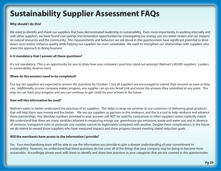## **Sustainability Supplier Assessment FAQs**

#### **Why should I do this?**

We want to identify and thank our suppliers that have demonstrated leadership in sustainability. Even more importantly, in working internally and with other suppliers, we have found cost savings and innovation opportunities by investigating our energy use, our waste stream and our impacts on natural resources and the community. The measurements and behaviors we ask about in this questionnaire have significant potential to drive down costs and/or enhance quality while helping our suppliers be more sustainable. We want to strengthen our relationships with suppliers who share this approach to doing business.

#### **Is it mandatory that I answer all these questions?**

It's not mandatory. This is an opportunity for you to show how your company's practices stand out amongst Walmart's 60,000 suppliers. Leaders in sustainability deserve merit.

#### **When do the answers need to be completed?**

Our top tier suppliers are expected to answer the questions by October 1, but all suppliers are encouraged to submit their answers as soon as they can. Additionally, as your company makes progress, any supplier can go into Retail Link and revise the answers they submitted at any point. This way, we can track your progress and you can continue to get credit for your actions in the future.

#### **How will this information be used?**

Walmart wants to better understand the practices of its suppliers. This helps us keep our promise to our customers of delivering great products that will help them save money and live better. We see our suppliers as partners in this endeavor, and this is a tool to help reinforce and advance those partnerships. Any absolute numbers provided in your answers will NOT be used for comparison to other suppliers unless explicitly stated. We understand that there are many variables inherent in measuring energy use, greenhouse gas emissions, waste and water use, and in absence of common, transparent rules or protocols, one number cannot be legitimately compared with another. Despite these complications, in the future we do intend to reward those suppliers who have measured impacts and show progress toward meeting stated reduction goals.

#### **Will the merchants have access to the information I provide?**

Yes. Your merchandising team will be able to use the information you provide to gain a deeper understanding of your commitment to sustainability. However, we understand that these questions do not cover all of the things that your company may be doing to become more sustainable. Accordingly, please work with them to identify and share best practices in your categories that are not covered in this questionnaire.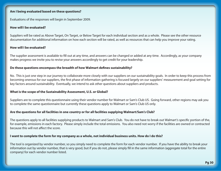#### **Am I being evaluated based on these questions?**

Evaluations of the responses will begin in September 2009.

#### **How will I be evaluated?**

Suppliers will be rated as Above Target, On Target, or Below Target for each individual section and as a whole. Please see the other resource documentation for additional information on how each section will be rated, as well as resources that can help you improve your rating.

#### **How will I be evaluated?**

The supplier assessment is available to fill out at any time, and answers can be changed or added at any time. Accordingly, as your company makes progress we invite you to revise your answers accordingly to get credit for your leadership.

#### **Do these questions encompass the breadth of how Walmart defines sustainability?**

No. This is just one step in our journey to collaborate more closely with our suppliers on our sustainability goals. In order to keep this process from becoming onerous for our suppliers, the first phase of information gathering is focused largely on our suppliers' measurement and goal setting for key factors around sustainability. Eventually, we intend to ask other questions about suppliers and products.

#### **What is the scope of the Sustainability Assessment, U.S. or Global?**

Suppliers are to complete this questionnaire using their vendor number for Walmart or Sam's Club US. Going forward, other regions may ask you to complete the same questionnaire but currently these questions apply to Walmart or Sam's Club US only.

#### **Are the questions for all facilities in one country or for all facilities supplying Walmart/Sam's Club?**

The questions apply to all facilities supplying products to Walmart and Sam's Club. You do not have to break out Walmart's specific portion of the, for example, emissions in each factory. Please simply include the total emissions. You also need not worry if the facilities are owned or contracted because this will not affect the score.

#### **I want to complete the form for my company as a whole, not individual business units. How do I do this?**

The tool is organized by vendor number, so you simply need to complete the form for each vendor number. If you have the ability to break your information out by vendor number, that is very good, but if you do not, please simply fill in the same information (aggregate total for the entire company) for each vendor number listed.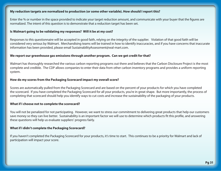#### **My reduction targets are normalized to production (or some other variable). How should I report this?**

Enter the % or number in the space provided to indicate your target reduction amount, and communicate with your buyer that the figures are normalized. The intent of this question is to demonstrate that a reduction target has been set.

#### **Is Walmart going to be validating my responses? Will it be at my cost?**

Responses to this questionnaire will be accepted in good faith, relying on the integrity of the supplier. Violation of that good faith will be considered very serious by Walmart. Merchandising teams will be trained in how to identify inaccuracies, and if you have concerns that inaccurate information has been provided, please email SustainabilityAssessment@wal-mart.com.

#### **We report our greenhouse gas emissions through another program. Can we get credit for that?**

Walmart has thoroughly researched the various carbon reporting programs out there and believes that the Carbon Disclosure Project is the most complete and credible. The CDP allows companies to enter their data from other carbon inventory programs and provides a uniform reporting system.

#### **How do my scores from the Packaging Scorecard impact my overall score?**

Scores are automatically pulled from the Packaging Scorecard and are based on the percent of your products for which you have completed the scorecard. If you have completed the Packaging Scorecard for all your products, you're in great shape. But more importantly, the process of completing that scorecard should help you identify ways to cut costs and increase the sustainability of the packaging of your products.

#### **What if I choose not to complete the scorecard?**

You will not be penalized for not participating. However, we want to stress our commitment to delivering great products that help our customers save money so they can live better. Sustainability is an important factor we will use to determine which products fit this profile, and answering these questions will help us evaluate suppliers' progress fairly.

#### **What if I didn't complete the Packaging Scorecard?**

If you haven't completed the Packaging Scorecard for your products, it's time to start. This continues to be a priority for Walmart and lack of participation will impact your score.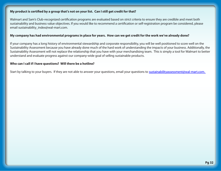#### **My product is certified by a group that's not on your list. Can I still get credit for that?**

Walmart and Sam's Club-recognized certification programs are evaluated based on strict criteria to ensure they are credible and meet both sustainability and business value objectives. If you would like to recommend a certification or self-registration program be considered, please email sustainability index@wal-mart.com.

#### **My company has had environmental programs in place for years. How can we get credit for the work we've already done?**

If your company has a long history of environmental stewardship and corporate responsibility, you will be well positioned to score well on the Sustainability Assessment because you have already done much of the hard work of understanding the impacts of your business. Additionally, the Sustainability Assessment will not replace the relationship that you have with your merchandising team. This is simply a tool for Walmart to better understand and evaluate progress against our company-wide goal of selling sustainable products.

#### **Who can I call if I have questions? Will there be a hotline?**

Start by talking to your buyers. If they are not able to answer your questions, email your questions to [sustainabilityassessment@wal-mart.com](mailto:sustainabilityassessment@wal-mart.com).